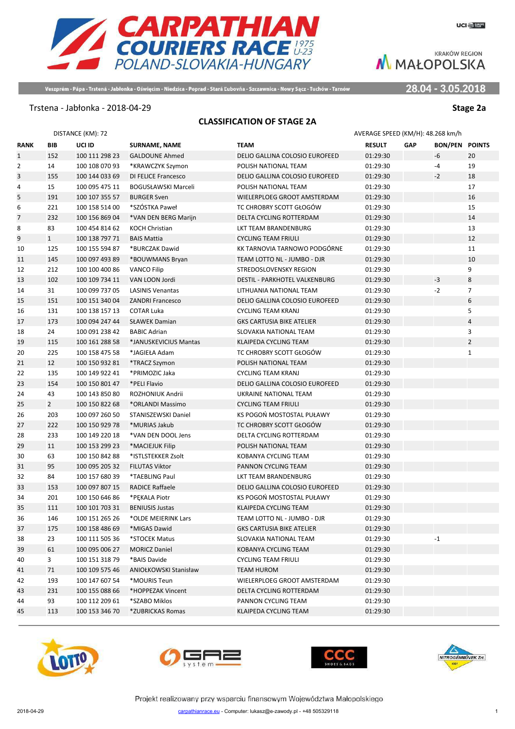

Veszprém - Pápa - Trstená - Jabłonka - Oświęcim - Niedzica - Poprad - Stará Ľubovňa - Szczawnica - Nowy Sącz - Tuchów - Tarnów

28.04 - 3.05.2018

#### Trstena - Jabłonka - 2018-04-29 **Stage 2a**

### **CLASSIFICATION OF STAGE 2A**

|                |                | DISTANCE (KM): 72 |                              |                                  | AVERAGE SPEED (KM/H): 48.268 km/h |            |                |                |
|----------------|----------------|-------------------|------------------------------|----------------------------------|-----------------------------------|------------|----------------|----------------|
| <b>RANK</b>    | BIB            | UCI ID            | <b>SURNAME, NAME</b>         | <b>TEAM</b>                      | <b>RESULT</b>                     | <b>GAP</b> | <b>BON/PEN</b> | <b>POINTS</b>  |
| $\mathbf{1}$   | 152            | 100 111 298 23    | <b>GALDOUNE Ahmed</b>        | DELIO GALLINA COLOSIO EUROFEED   | 01:29:30                          |            | $-6$           | 20             |
| $\overline{2}$ | 14             | 100 108 070 93    | *KRAWCZYK Szymon             | POLISH NATIONAL TEAM             | 01:29:30                          |            | -4             | 19             |
| 3              | 155            | 100 144 033 69    | <b>DI FELICE Francesco</b>   | DELIO GALLINA COLOSIO EUROFEED   | 01:29:30                          |            | $-2$           | 18             |
| 4              | 15             | 100 095 475 11    | <b>BOGUSŁAWSKI Marceli</b>   | POLISH NATIONAL TEAM             | 01:29:30                          |            |                | 17             |
| 5              | 191            | 100 107 355 57    | <b>BURGER Sven</b>           | WIELERPLOEG GROOT AMSTERDAM      | 01:29:30                          |            |                | 16             |
| 6              | 221            | 100 158 514 00    | *SZÓSTKA Paweł               | TC CHROBRY SCOTT GŁOGÓW          | 01:29:30                          |            |                | 15             |
| 7              | 232            | 100 156 869 04    | *VAN DEN BERG Marijn         | <b>DELTA CYCLING ROTTERDAM</b>   | 01:29:30                          |            |                | 14             |
| 8              | 83             | 100 454 814 62    | <b>KOCH Christian</b>        | LKT TEAM BRANDENBURG             | 01:29:30                          |            |                | 13             |
| 9              | $\mathbf{1}$   | 100 138 797 71    | <b>BAIS Mattia</b>           | <b>CYCLING TEAM FRIULI</b>       | 01:29:30                          |            |                | 12             |
| 10             | 125            | 100 155 594 87    | *BURCZAK Dawid               | KK TARNOVIA TARNOWO PODGÓRNE     | 01:29:30                          |            |                | 11             |
| 11             | 145            | 100 097 493 89    | *BOUWMANS Bryan              | TEAM LOTTO NL - JUMBO - DJR      | 01:29:30                          |            |                | 10             |
| 12             | 212            | 100 100 400 86    | <b>VANCO Filip</b>           | STREDOSLOVENSKY REGION           | 01:29:30                          |            |                | 9              |
| 13             | 102            | 100 109 734 11    | VAN LOON Jordi               | DESTIL - PARKHOTEL VALKENBURG    | 01:29:30                          |            | $-3$           | 8              |
| 14             | 31             | 100 099 737 05    | <b>LASINIS Venantas</b>      | LITHUANIA NATIONAL TEAM          | 01:29:30                          |            | $-2$           | $\overline{7}$ |
| 15             | 151            | 100 151 340 04    | <b>ZANDRI Francesco</b>      | DELIO GALLINA COLOSIO EUROFEED   | 01:29:30                          |            |                | 6              |
| 16             | 131            | 100 138 157 13    | <b>COTAR Luka</b>            | <b>CYCLING TEAM KRANJ</b>        | 01:29:30                          |            |                | 5              |
| 17             | 173            | 100 094 247 44    | <b>SŁAWEK Damian</b>         | <b>GKS CARTUSIA BIKE ATELIER</b> | 01:29:30                          |            |                | $\overline{4}$ |
| 18             | 24             | 100 091 238 42    | <b>BABIC Adrian</b>          | SLOVAKIA NATIONAL TEAM           | 01:29:30                          |            |                | 3              |
| 19             | 115            | 100 161 288 58    | *JANUSKEVICIUS Mantas        | KLAIPEDA CYCLING TEAM            | 01:29:30                          |            |                | $\overline{2}$ |
| 20             | 225            | 100 158 475 58    | *JAGIEŁA Adam                | TC CHROBRY SCOTT GŁOGÓW          | 01:29:30                          |            |                | $\mathbf{1}$   |
| 21             | 12             | 100 150 932 81    | *TRACZ Szymon                | POLISH NATIONAL TEAM             | 01:29:30                          |            |                |                |
| 22             | 135            | 100 149 922 41    | *PRIMOZIC Jaka               | <b>CYCLING TEAM KRANJ</b>        | 01:29:30                          |            |                |                |
| 23             | 154            | 100 150 801 47    | *PELI Flavio                 | DELIO GALLINA COLOSIO EUROFEED   | 01:29:30                          |            |                |                |
| 24             | 43             | 100 143 850 80    | ROZHONIUK Andrii             | UKRAINE NATIONAL TEAM            | 01:29:30                          |            |                |                |
| 25             | $\overline{2}$ | 100 150 822 68    | *ORLANDI Massimo             | <b>CYCLING TEAM FRIULI</b>       | 01:29:30                          |            |                |                |
| 26             | 203            | 100 097 260 50    | STANISZEWSKI Daniel          | KS POGOŃ MOSTOSTAL PUŁAWY        | 01:29:30                          |            |                |                |
| 27             | 222            | 100 150 929 78    | *MURIAS Jakub                | TC CHROBRY SCOTT GŁOGÓW          | 01:29:30                          |            |                |                |
| 28             | 233            | 100 149 220 18    | *VAN DEN DOOL Jens           | DELTA CYCLING ROTTERDAM          | 01:29:30                          |            |                |                |
| 29             | 11             | 100 153 299 23    | *MACIEJUK Filip              | POLISH NATIONAL TEAM             | 01:29:30                          |            |                |                |
| 30             | 63             | 100 150 842 88    | *ISTLSTEKKER Zsolt           | KOBANYA CYCLING TEAM             | 01:29:30                          |            |                |                |
| 31             | 95             | 100 095 205 32    | <b>FILUTAS Viktor</b>        | PANNON CYCLING TEAM              | 01:29:30                          |            |                |                |
| 32             | 84             | 100 157 680 39    | *TAEBLING Paul               | LKT TEAM BRANDENBURG             | 01:29:30                          |            |                |                |
| 33             | 153            | 100 097 807 15    | <b>RADICE Raffaele</b>       | DELIO GALLINA COLOSIO EUROFEED   | 01:29:30                          |            |                |                |
| 34             | 201            | 100 150 646 86    | *PEKALA Piotr                | KS POGOŃ MOSTOSTAL PUŁAWY        | 01:29:30                          |            |                |                |
| 35             | 111            | 100 101 703 31    | <b>BENIUSIS Justas</b>       | KLAIPEDA CYCLING TEAM            | 01:29:30                          |            |                |                |
| 36             | 146            | 100 151 265 26    | *OLDE MEIERINK Lars          | TEAM LOTTO NL - JUMBO - DJR      | 01:29:30                          |            |                |                |
| 37             | 175            | 100 158 486 69    | *MIGAS Dawid                 | <b>GKS CARTUSIA BIKE ATELIER</b> | 01:29:30                          |            |                |                |
| 38             | 23             | 100 111 505 36    | *STOCEK Matus                | SLOVAKIA NATIONAL TEAM           | 01:29:30                          |            | $-1$           |                |
| 39             | 61             | 100 095 006 27    | <b>MORICZ Daniel</b>         | KOBANYA CYCLING TEAM             | 01:29:30                          |            |                |                |
| 40             | 3              | 100 151 318 79    | *BAIS Davide                 | <b>CYCLING TEAM FRIULI</b>       | 01:29:30                          |            |                |                |
| 41             | 71             | 100 109 575 46    | <b>ANIOŁKOWSKI Stanisław</b> | TEAM HUROM                       | 01:29:30                          |            |                |                |
| 42             | 193            | 100 147 607 54    | *MOURIS Teun                 | WIELERPLOEG GROOT AMSTERDAM      | 01:29:30                          |            |                |                |
| 43             | 231            | 100 155 088 66    | *HOPPEZAK Vincent            | DELTA CYCLING ROTTERDAM          | 01:29:30                          |            |                |                |
| 44             | 93             | 100 112 209 61    | *SZABO Miklos                | PANNON CYCLING TEAM              | 01:29:30                          |            |                |                |
| 45             | 113            | 100 153 346 70    | *ZUBRICKAS Romas             | KLAIPEDA CYCLING TEAM            | 01:29:30                          |            |                |                |
|                |                |                   |                              |                                  |                                   |            |                |                |







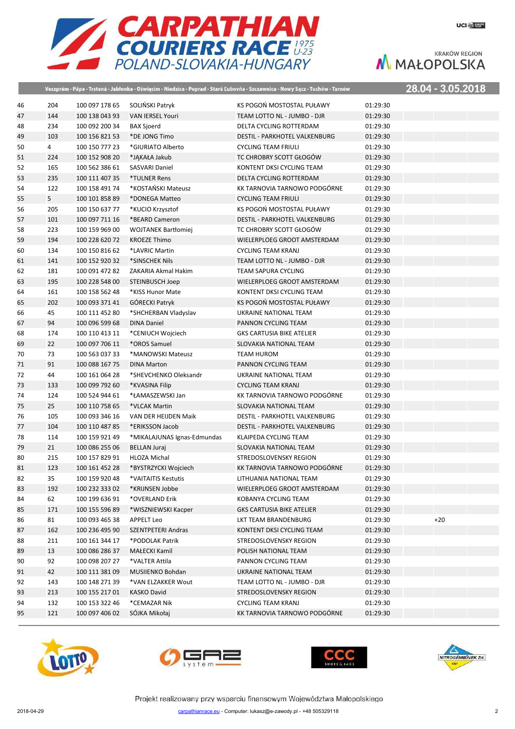

|    |                |                |                             | Veszprém - Pápa - Trstená - Jabłonka - Oświęcim - Niedzica - Poprad - Stará Ľubovňa - Szczawnica - Nowy Sącz - Tuchów - Tarnów |          | 28.04 - 3.05.2018 |  |
|----|----------------|----------------|-----------------------------|--------------------------------------------------------------------------------------------------------------------------------|----------|-------------------|--|
| 46 | 204            | 100 097 178 65 | SOLIŃSKI Patryk             | KS POGOŃ MOSTOSTAL PUŁAWY                                                                                                      | 01:29:30 |                   |  |
| 47 | 144            | 100 138 043 93 | <b>VAN IERSEL Youri</b>     | TEAM LOTTO NL - JUMBO - DJR                                                                                                    | 01:29:30 |                   |  |
| 48 | 234            | 100 092 200 34 | <b>BAX Sjoerd</b>           | DELTA CYCLING ROTTERDAM                                                                                                        | 01:29:30 |                   |  |
| 49 | 103            | 100 156 821 53 | *DE JONG Timo               | DESTIL - PARKHOTEL VALKENBURG                                                                                                  | 01:29:30 |                   |  |
| 50 | 4              | 100 150 777 23 | *GIURIATO Alberto           | <b>CYCLING TEAM FRIULI</b>                                                                                                     | 01:29:30 |                   |  |
| 51 | 224            | 100 152 908 20 | *JAKAŁA Jakub               | TC CHROBRY SCOTT GŁOGÓW                                                                                                        | 01:29:30 |                   |  |
| 52 | 165            | 100 562 386 61 | <b>SASVARI Daniel</b>       | KONTENT DKSI CYCLING TEAM                                                                                                      | 01:29:30 |                   |  |
| 53 | 235            | 100 111 407 35 | *TULNER Rens                | DELTA CYCLING ROTTERDAM                                                                                                        | 01:29:30 |                   |  |
| 54 | 122            | 100 158 491 74 | *KOSTAŃSKI Mateusz          | KK TARNOVIA TARNOWO PODGÓRNE                                                                                                   | 01:29:30 |                   |  |
| 55 | 5 <sub>1</sub> | 100 101 858 89 | *DONEGA Matteo              | <b>CYCLING TEAM FRIULI</b>                                                                                                     | 01:29:30 |                   |  |
| 56 | 205            | 100 150 637 77 | *KUCIO Krzysztof            | KS POGOŃ MOSTOSTAL PUŁAWY                                                                                                      | 01:29:30 |                   |  |
| 57 | 101            | 100 097 711 16 | *BEARD Cameron              | DESTIL - PARKHOTEL VALKENBURG                                                                                                  | 01:29:30 |                   |  |
| 58 | 223            | 100 159 969 00 | <b>WOJTANEK Bartłomiej</b>  | TC CHROBRY SCOTT GŁOGÓW                                                                                                        | 01:29:30 |                   |  |
| 59 | 194            | 100 228 620 72 | <b>KROEZE Thimo</b>         | WIELERPLOEG GROOT AMSTERDAM                                                                                                    | 01:29:30 |                   |  |
| 60 | 134            | 100 150 816 62 | *LAVRIC Martin              | <b>CYCLING TEAM KRANJ</b>                                                                                                      | 01:29:30 |                   |  |
| 61 | 141            | 100 152 920 32 | *SINSCHEK Nils              | TEAM LOTTO NL - JUMBO - DJR                                                                                                    | 01:29:30 |                   |  |
| 62 | 181            | 100 091 472 82 | ZAKARIA Akmal Hakim         | <b>TEAM SAPURA CYCLING</b>                                                                                                     | 01:29:30 |                   |  |
| 63 | 195            | 100 228 548 00 | <b>STEINBUSCH Joep</b>      | WIELERPLOEG GROOT AMSTERDAM                                                                                                    | 01:29:30 |                   |  |
| 64 | 161            | 100 158 562 48 | *KISS Hunor Mate            | KONTENT DKSI CYCLING TEAM                                                                                                      | 01:29:30 |                   |  |
| 65 | 202            | 100 093 371 41 | <b>GÓRECKI Patryk</b>       | KS POGOŃ MOSTOSTAL PUŁAWY                                                                                                      | 01:29:30 |                   |  |
| 66 | 45             | 100 111 452 80 | *SHCHERBAN Vladyslav        | UKRAINE NATIONAL TEAM                                                                                                          | 01:29:30 |                   |  |
| 67 | 94             | 100 096 599 68 | <b>DINA Daniel</b>          | PANNON CYCLING TEAM                                                                                                            | 01:29:30 |                   |  |
| 68 | 174            | 100 110 413 11 | *CENIUCH Wojciech           | <b>GKS CARTUSIA BIKE ATELIER</b>                                                                                               | 01:29:30 |                   |  |
| 69 | 22             | 100 097 706 11 | *OROS Samuel                | SLOVAKIA NATIONAL TEAM                                                                                                         | 01:29:30 |                   |  |
| 70 | 73             | 100 563 037 33 | *MANOWSKI Mateusz           | TEAM HUROM                                                                                                                     | 01:29:30 |                   |  |
| 71 | 91             | 100 088 167 75 | <b>DINA Marton</b>          | PANNON CYCLING TEAM                                                                                                            | 01:29:30 |                   |  |
| 72 | 44             | 100 161 064 28 | *SHEVCHENKO Oleksandr       | UKRAINE NATIONAL TEAM                                                                                                          | 01:29:30 |                   |  |
| 73 | 133            | 100 099 792 60 | *KVASINA Filip              | <b>CYCLING TEAM KRANJ</b>                                                                                                      | 01:29:30 |                   |  |
| 74 | 124            | 100 524 944 61 | *ŁAMASZEWSKI Jan            | KK TARNOVIA TARNOWO PODGÓRNE                                                                                                   | 01:29:30 |                   |  |
| 75 | 25             | 100 110 758 65 | *VLCAK Martin               | SLOVAKIA NATIONAL TEAM                                                                                                         | 01:29:30 |                   |  |
| 76 | 105            | 100 093 346 16 | VAN DER HEIJDEN Maik        | DESTIL - PARKHOTEL VALKENBURG                                                                                                  | 01:29:30 |                   |  |
| 77 | 104            | 100 110 487 85 | *ERIKSSON Jacob             | DESTIL - PARKHOTEL VALKENBURG                                                                                                  | 01:29:30 |                   |  |
| 78 | 114            | 100 159 921 49 | *MIKALAJUNAS Ignas-Edmundas | KLAIPEDA CYCLING TEAM                                                                                                          | 01:29:30 |                   |  |
| 79 | 21             | 100 086 255 06 | <b>BELLAN Juraj</b>         | SLOVAKIA NATIONAL TEAM                                                                                                         | 01:29:30 |                   |  |
| 80 | 215            | 100 157 829 91 | <b>HLOZA Michal</b>         | STREDOSLOVENSKY REGION                                                                                                         | 01:29:30 |                   |  |
| 81 | 123            | 100 161 452 28 | *BYSTRZYCKI Wojciech        | KK TARNOVIA TARNOWO PODGÓRNE                                                                                                   | 01:29:30 |                   |  |
| 82 | 35             | 100 159 920 48 | *VAITAITIS Kestutis         | LITHUANIA NATIONAL TEAM                                                                                                        | 01:29:30 |                   |  |
| 83 | 192            | 100 232 333 02 | *KRIJNSEN Jobbe             | WIELERPLOEG GROOT AMSTERDAM                                                                                                    | 01:29:30 |                   |  |
| 84 | 62             | 100 199 636 91 | *OVERLAND Erik              | KOBANYA CYCLING TEAM                                                                                                           | 01:29:30 |                   |  |
| 85 | 171            | 100 155 596 89 | *WISZNIEWSKI Kacper         | <b>GKS CARTUSIA BIKE ATELIER</b>                                                                                               | 01:29:30 |                   |  |
| 86 | 81             | 100 093 465 38 | <b>APPELT Leo</b>           | LKT TEAM BRANDENBURG                                                                                                           | 01:29:30 | $+20$             |  |
| 87 | 162            | 100 236 495 90 | SZENTPETERI Andras          | KONTENT DKSI CYCLING TEAM                                                                                                      | 01:29:30 |                   |  |
| 88 | 211            | 100 161 344 17 | *PODOLAK Patrik             | STREDOSLOVENSKY REGION                                                                                                         | 01:29:30 |                   |  |
| 89 | 13             | 100 086 286 37 | MAŁECKI Kamil               | POLISH NATIONAL TEAM                                                                                                           | 01:29:30 |                   |  |
| 90 | 92             | 100 098 207 27 | *VALTER Attila              | PANNON CYCLING TEAM                                                                                                            | 01:29:30 |                   |  |
| 91 | 42             | 100 111 381 09 | MUSIIENKO Bohdan            | UKRAINE NATIONAL TEAM                                                                                                          | 01:29:30 |                   |  |
| 92 | 143            | 100 148 271 39 | *VAN ELZAKKER Wout          | TEAM LOTTO NL - JUMBO - DJR                                                                                                    | 01:29:30 |                   |  |
| 93 | 213            | 100 155 217 01 | <b>KASKO David</b>          | STREDOSLOVENSKY REGION                                                                                                         | 01:29:30 |                   |  |
| 94 | 132            | 100 153 322 46 | *CEMAZAR Nik                | <b>CYCLING TEAM KRANJ</b>                                                                                                      | 01:29:30 |                   |  |
| 95 | 121            | 100 097 406 02 | SÓJKA Mikołaj               | KK TARNOVIA TARNOWO PODGÓRNE                                                                                                   | 01:29:30 |                   |  |
|    |                |                |                             |                                                                                                                                |          |                   |  |







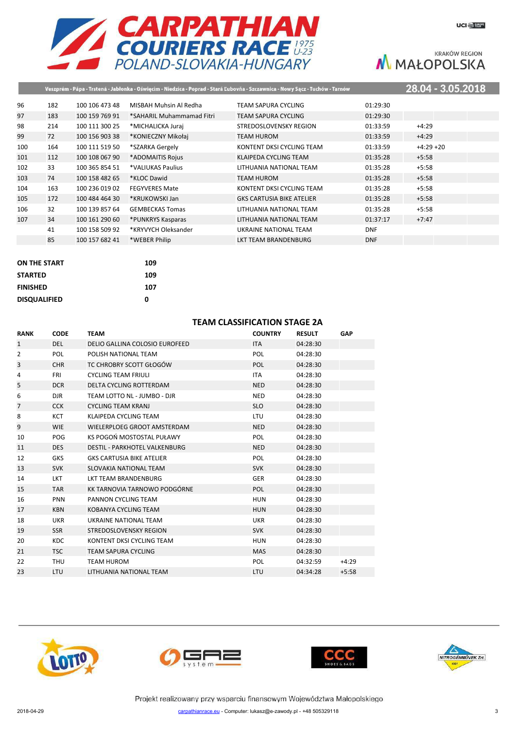

|     |     |                |                           | Veszprém - Pápa - Trstená - Jabłonka - Oświęcim - Niedzica - Poprad - Stará Ľubovňa - Szczawnica - Nowy Sącz - Tuchów - Tarnów |            | 28.04 - 3.05.2018 |  |
|-----|-----|----------------|---------------------------|--------------------------------------------------------------------------------------------------------------------------------|------------|-------------------|--|
| 96  | 182 | 100 106 473 48 | MISBAH Muhsin Al Redha    | TEAM SAPURA CYCLING                                                                                                            | 01:29:30   |                   |  |
| 97  | 183 | 100 159 769 91 | *SAHARIL Muhammamad Fitri | <b>TEAM SAPURA CYCLING</b>                                                                                                     | 01:29:30   |                   |  |
| 98  | 214 | 100 111 300 25 | *MICHALICKA Juraj         | STREDOSLOVENSKY REGION                                                                                                         | 01:33:59   | $+4:29$           |  |
| 99  | 72  | 100 156 903 38 | *KONIECZNY Mikołaj        | TEAM HUROM                                                                                                                     | 01:33:59   | $+4:29$           |  |
| 100 | 164 | 100 111 519 50 | *SZARKA Gergely           | KONTENT DKSI CYCLING TEAM                                                                                                      | 01:33:59   | $+4:29 +20$       |  |
| 101 | 112 | 100 108 067 90 | *ADOMAITIS Rojus          | KLAIPEDA CYCLING TEAM                                                                                                          | 01:35:28   | $+5:58$           |  |
| 102 | 33  | 100 365 854 51 | *VALIUKAS Paulius         | LITHUANIA NATIONAL TEAM                                                                                                        | 01:35:28   | $+5:58$           |  |
| 103 | 74  | 100 158 482 65 | *KLOC Dawid               | TEAM HUROM                                                                                                                     | 01:35:28   | $+5:58$           |  |
| 104 | 163 | 100 236 019 02 | <b>FEGYVERES Mate</b>     | KONTENT DKSI CYCLING TEAM                                                                                                      | 01:35:28   | $+5:58$           |  |
| 105 | 172 | 100 484 464 30 | *KRUKOWSKI Jan            | <b>GKS CARTUSIA BIKE ATELIER</b>                                                                                               | 01:35:28   | $+5:58$           |  |
| 106 | 32  | 100 139 857 64 | <b>GEMBECKAS Tomas</b>    | LITHUANIA NATIONAL TEAM                                                                                                        | 01:35:28   | $+5:58$           |  |
| 107 | 34  | 100 161 290 60 | *PUNKRYS Kasparas         | LITHUANIA NATIONAL TEAM                                                                                                        | 01:37:17   | $+7:47$           |  |
|     | 41  | 100 158 509 92 | *KRYVYCH Oleksander       | UKRAINE NATIONAL TEAM                                                                                                          | <b>DNF</b> |                   |  |
|     | 85  | 100 157 682 41 | *WEBER Philip             | LKT TEAM BRANDENBURG                                                                                                           | <b>DNF</b> |                   |  |
|     |     |                |                           |                                                                                                                                |            |                   |  |

| <b>ON THE START</b> | 109 |
|---------------------|-----|
| <b>STARTED</b>      | 109 |
| <b>FINISHED</b>     | 107 |
| <b>DISQUALIFIED</b> | ŋ   |

# **TEAM CLASSIFICATION STAGE 2A**

| <b>RANK</b>    | <b>CODE</b> | <b>TEAM</b>                          | <b>COUNTRY</b> | <b>RESULT</b> | GAP     |
|----------------|-------------|--------------------------------------|----------------|---------------|---------|
| $\mathbf{1}$   | <b>DEL</b>  | DELIO GALLINA COLOSIO EUROFEED       | <b>ITA</b>     | 04:28:30      |         |
| 2              | <b>POL</b>  | POLISH NATIONAL TEAM                 | <b>POL</b>     | 04:28:30      |         |
| 3              | <b>CHR</b>  | TC CHROBRY SCOTT GŁOGÓW              | <b>POL</b>     | 04:28:30      |         |
| 4              | <b>FRI</b>  | <b>CYCLING TEAM FRIULI</b>           | <b>ITA</b>     | 04:28:30      |         |
| 5              | <b>DCR</b>  | DELTA CYCLING ROTTERDAM              | <b>NED</b>     | 04:28:30      |         |
| 6              | <b>DJR</b>  | TEAM LOTTO NL - JUMBO - DJR          | <b>NED</b>     | 04:28:30      |         |
| $\overline{7}$ | <b>CCK</b>  | <b>CYCLING TEAM KRANJ</b>            | <b>SLO</b>     | 04:28:30      |         |
| 8              | <b>KCT</b>  | KLAIPEDA CYCLING TEAM                | LTU            | 04:28:30      |         |
| 9              | <b>WIE</b>  | WIELERPLOEG GROOT AMSTERDAM          | <b>NED</b>     | 04:28:30      |         |
| 10             | POG         | KS POGOŃ MOSTOSTAL PUŁAWY            | <b>POL</b>     | 04:28:30      |         |
| 11             | <b>DES</b>  | <b>DESTIL - PARKHOTEL VALKENBURG</b> | <b>NED</b>     | 04:28:30      |         |
| 12             | <b>GKS</b>  | <b>GKS CARTUSIA BIKE ATELIER</b>     | <b>POL</b>     | 04:28:30      |         |
| 13             | <b>SVK</b>  | SLOVAKIA NATIONAL TEAM               | <b>SVK</b>     | 04:28:30      |         |
| 14             | <b>LKT</b>  | LKT TEAM BRANDENBURG                 | <b>GER</b>     | 04:28:30      |         |
| 15             | <b>TAR</b>  | KK TARNOVIA TARNOWO PODGÓRNE         | <b>POL</b>     | 04:28:30      |         |
| 16             | <b>PNN</b>  | PANNON CYCLING TEAM                  | <b>HUN</b>     | 04:28:30      |         |
| 17             | <b>KBN</b>  | KOBANYA CYCLING TEAM                 | <b>HUN</b>     | 04:28:30      |         |
| 18             | <b>UKR</b>  | UKRAINE NATIONAL TEAM                | <b>UKR</b>     | 04:28:30      |         |
| 19             | <b>SSR</b>  | <b>STREDOSLOVENSKY REGION</b>        | <b>SVK</b>     | 04:28:30      |         |
| 20             | <b>KDC</b>  | KONTENT DKSI CYCLING TEAM            | HUN            | 04:28:30      |         |
| 21             | <b>TSC</b>  | <b>TEAM SAPURA CYCLING</b>           | <b>MAS</b>     | 04:28:30      |         |
| 22             | THU         | <b>TEAM HUROM</b>                    | <b>POL</b>     | 04:32:59      | $+4:29$ |
| 23             | <b>LTU</b>  | LITHUANIA NATIONAL TEAM              | <b>LTU</b>     | 04:34:28      | $+5:58$ |







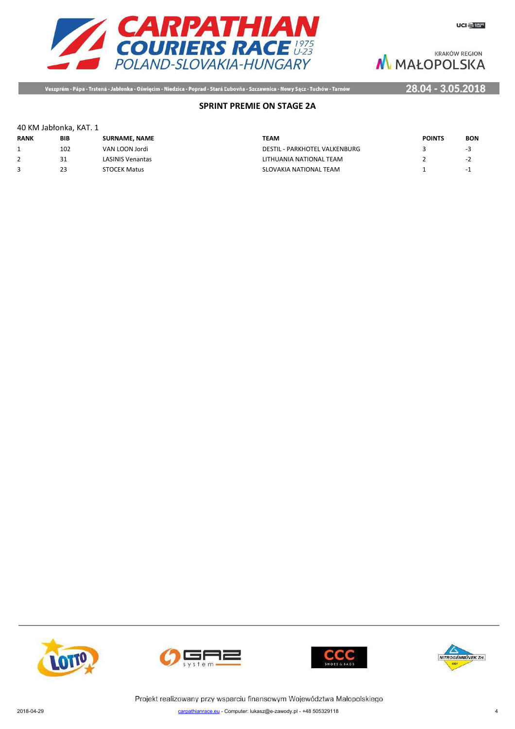



Veszprém - Pápa - Trstená - Jabłonka - Oświęcim - Niedzica - Poprad - Stará Ľubovňa - Szczawnica - Nowy Sącz - Tuchów - Tarnów

# 28.04 - 3.05.2018

# **SPRINT PREMIE ON STAGE 2A**

#### 40 KM Jabłonka, KAT. 1

| <b>RANK</b> | BIB | <b>SURNAME, NAME</b>    | TEAM                          | <b>POINTS</b> | <b>BON</b> |
|-------------|-----|-------------------------|-------------------------------|---------------|------------|
|             | 102 | VAN LOON Jordi          | DESTIL - PARKHOTEL VALKENBURG |               | -5         |
|             |     | <b>LASINIS Venantas</b> | LITHUANIA NATIONAL TEAM       |               | - 1        |
| 3           | 23  | <b>STOCEK Matus</b>     | SLOVAKIA NATIONAL TEAM        |               | $-1$       |







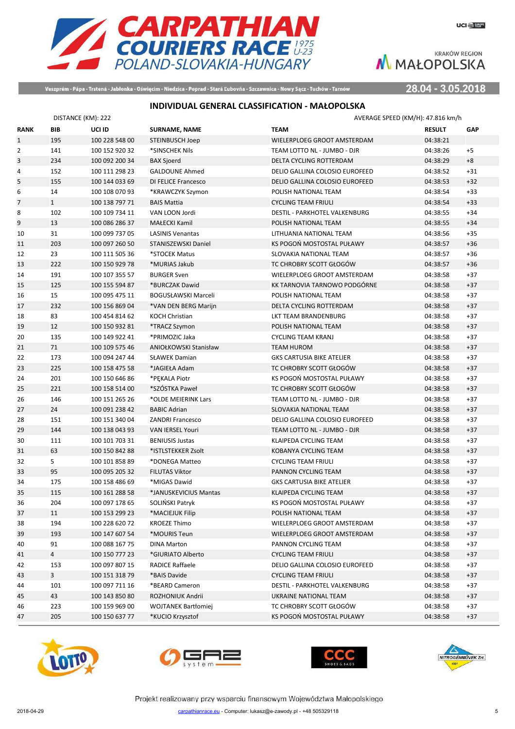



Veszprém - Pápa - Trstená - Jabłonka - Oświęcim - Niedzica - Poprad - Stará Ľubovňa - Szczawnica - Nowy Sącz - Tuchów - Tarnów

28.04 - 3.05.2018

# **INDIVIDUAL GENERAL CLASSIFICATION - MAŁOPOLSKA**

|                | DISTANCE (KM): 222 |                |                              | AVERAGE SPEED (KM/H): 47.816 km/h |               |            |
|----------------|--------------------|----------------|------------------------------|-----------------------------------|---------------|------------|
| <b>RANK</b>    | <b>BIB</b>         | UCI ID         | <b>SURNAME, NAME</b>         | <b>TEAM</b>                       | <b>RESULT</b> | <b>GAP</b> |
| $\mathbf{1}$   | 195                | 100 228 548 00 | <b>STEINBUSCH Joep</b>       | WIELERPLOEG GROOT AMSTERDAM       | 04:38:21      |            |
| $\overline{2}$ | 141                | 100 152 920 32 | *SINSCHEK Nils               | TEAM LOTTO NL - JUMBO - DJR       | 04:38:26      | $+5$       |
| 3              | 234                | 100 092 200 34 | <b>BAX Sjoerd</b>            | DELTA CYCLING ROTTERDAM           | 04:38:29      | $+8$       |
| 4              | 152                | 100 111 298 23 | <b>GALDOUNE Ahmed</b>        | DELIO GALLINA COLOSIO EUROFEED    | 04:38:52      | $+31$      |
| 5              | 155                | 100 144 033 69 | DI FELICE Francesco          | DELIO GALLINA COLOSIO EUROFEED    | 04:38:53      | $+32$      |
| 6              | 14                 | 100 108 070 93 | *KRAWCZYK Szymon             | POLISH NATIONAL TEAM              | 04:38:54      | $+33$      |
| $\overline{7}$ | $\mathbf{1}$       | 100 138 797 71 | <b>BAIS Mattia</b>           | <b>CYCLING TEAM FRIULI</b>        | 04:38:54      | $+33$      |
| 8              | 102                | 100 109 734 11 | VAN LOON Jordi               | DESTIL - PARKHOTEL VALKENBURG     | 04:38:55      | $+34$      |
| 9              | 13                 | 100 086 286 37 | <b>MAŁECKI Kamil</b>         | POLISH NATIONAL TEAM              | 04:38:55      | $+34$      |
| 10             | 31                 | 100 099 737 05 | <b>LASINIS Venantas</b>      | LITHUANIA NATIONAL TEAM           | 04:38:56      | $+35$      |
| 11             | 203                | 100 097 260 50 | STANISZEWSKI Daniel          | KS POGOŃ MOSTOSTAL PUŁAWY         | 04:38:57      | $+36$      |
| 12             | 23                 | 100 111 505 36 | *STOCEK Matus                | SLOVAKIA NATIONAL TEAM            | 04:38:57      | $+36$      |
| 13             | 222                | 100 150 929 78 | *MURIAS Jakub                | TC CHROBRY SCOTT GŁOGÓW           | 04:38:57      | $+36$      |
| 14             | 191                | 100 107 355 57 | <b>BURGER Sven</b>           | WIELERPLOEG GROOT AMSTERDAM       | 04:38:58      | $+37$      |
| 15             | 125                | 100 155 594 87 | *BURCZAK Dawid               | KK TARNOVIA TARNOWO PODGÓRNE      | 04:38:58      | $+37$      |
| 16             | 15                 | 100 095 475 11 | BOGUSŁAWSKI Marceli          | POLISH NATIONAL TEAM              | 04:38:58      | $+37$      |
| 17             | 232                | 100 156 869 04 | *VAN DEN BERG Marijn         | DELTA CYCLING ROTTERDAM           | 04:38:58      | $+37$      |
| 18             | 83                 | 100 454 814 62 | <b>KOCH Christian</b>        | LKT TEAM BRANDENBURG              | 04:38:58      | $+37$      |
| 19             | 12                 | 100 150 932 81 | *TRACZ Szymon                | POLISH NATIONAL TEAM              | 04:38:58      | $+37$      |
| 20             | 135                | 100 149 922 41 | *PRIMOZIC Jaka               | <b>CYCLING TEAM KRANJ</b>         | 04:38:58      | $+37$      |
| 21             | 71                 | 100 109 575 46 | <b>ANIOŁKOWSKI Stanisław</b> | <b>TEAM HUROM</b>                 | 04:38:58      | $+37$      |
| 22             | 173                | 100 094 247 44 | <b>SŁAWEK Damian</b>         | <b>GKS CARTUSIA BIKE ATELIER</b>  | 04:38:58      | $+37$      |
| 23             | 225                | 100 158 475 58 | *JAGIEŁA Adam                | TC CHROBRY SCOTT GŁOGÓW           | 04:38:58      | $+37$      |
| 24             | 201                | 100 150 646 86 | *PEKALA Piotr                | KS POGOŃ MOSTOSTAL PUŁAWY         | 04:38:58      | $+37$      |
| 25             | 221                | 100 158 514 00 | *SZÓSTKA Paweł               | TC CHROBRY SCOTT GŁOGÓW           | 04:38:58      | $+37$      |
| 26             | 146                | 100 151 265 26 | *OLDE MEIERINK Lars          | TEAM LOTTO NL - JUMBO - DJR       | 04:38:58      | $+37$      |
| 27             | 24                 | 100 091 238 42 | <b>BABIC Adrian</b>          | SLOVAKIA NATIONAL TEAM            | 04:38:58      | $+37$      |
| 28             | 151                | 100 151 340 04 | <b>ZANDRI Francesco</b>      | DELIO GALLINA COLOSIO EUROFEED    | 04:38:58      | $+37$      |
| 29             | 144                | 100 138 043 93 | VAN IERSEL Youri             | TEAM LOTTO NL - JUMBO - DJR       | 04:38:58      | $+37$      |
| 30             | 111                | 100 101 703 31 | <b>BENIUSIS Justas</b>       | KLAIPEDA CYCLING TEAM             | 04:38:58      | $+37$      |
| 31             | 63                 | 100 150 842 88 | *ISTLSTEKKER Zsolt           | KOBANYA CYCLING TEAM              | 04:38:58      | $+37$      |
| 32             | 5                  | 100 101 858 89 | *DONEGA Matteo               | <b>CYCLING TEAM FRIULI</b>        | 04:38:58      | $+37$      |
| 33             | 95                 | 100 095 205 32 | <b>FILUTAS Viktor</b>        | PANNON CYCLING TEAM               | 04:38:58      | $+37$      |
| 34             | 175                | 100 158 486 69 | *MIGAS Dawid                 | <b>GKS CARTUSIA BIKE ATELIER</b>  | 04:38:58      | $+37$      |
| 35             | 115                | 100 161 288 58 | *JANUSKEVICIUS Mantas        | <b>KLAIPEDA CYCLING TEAM</b>      | 04:38:58      | $+37$      |
| 36             | 204                | 100 097 178 65 | SOLIŃSKI Patryk              | KS POGOŃ MOSTOSTAL PUŁAWY         | 04:38:58      | $+37$      |
| 37             | 11                 | 100 153 299 23 | *MACIEJUK Filip              | POLISH NATIONAL TEAM              | 04:38:58      | $+37$      |
| 38             | 194                | 100 228 620 72 | <b>KROEZE Thimo</b>          | WIELERPLOEG GROOT AMSTERDAM       | 04:38:58      | $+37$      |
| 39             | 193                | 100 147 607 54 | *MOURIS Teun                 | WIELERPLOEG GROOT AMSTERDAM       | 04:38:58      | $+37$      |
| 40             | 91                 | 100 088 167 75 | <b>DINA Marton</b>           | PANNON CYCLING TEAM               | 04:38:58      | $+37$      |
| 41             | $\overline{4}$     | 100 150 777 23 | *GIURIATO Alberto            | <b>CYCLING TEAM FRIULI</b>        | 04:38:58      | $+37$      |
| 42             | 153                | 100 097 807 15 | RADICE Raffaele              | DELIO GALLINA COLOSIO EUROFEED    | 04:38:58      | $+37$      |
| 43             | $\overline{3}$     | 100 151 318 79 | *BAIS Davide                 | <b>CYCLING TEAM FRIULI</b>        | 04:38:58      | $+37$      |
| 44             | 101                | 100 097 711 16 | *BEARD Cameron               | DESTIL - PARKHOTEL VALKENBURG     | 04:38:58      | $+37$      |
| 45             | 43                 | 100 143 850 80 | ROZHONIUK Andrii             | UKRAINE NATIONAL TEAM             | 04:38:58      | $+37$      |
| 46             | 223                | 100 159 969 00 | <b>WOJTANEK Bartłomiej</b>   | TC CHROBRY SCOTT GŁOGÓW           | 04:38:58      | $+37$      |
| 47             | 205                | 100 150 637 77 | *KUCIO Krzysztof             | KS POGOŃ MOSTOSTAL PUŁAWY         | 04:38:58      | $+37$      |







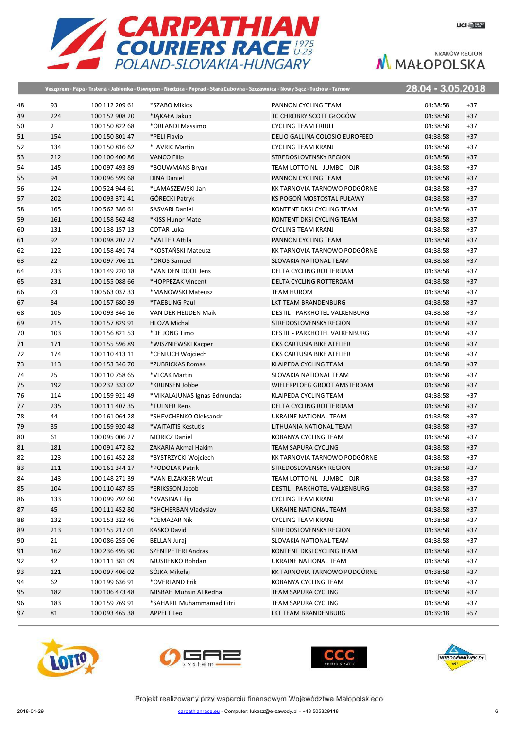

|    |                |                | Veszprém - Pápa - Trstená - Jabłonka - Oświęcim - Niedzica - Poprad - Stará Ľubovňa - Szczawnica - Nowy Sącz - Tuchów - Tarnów |                                  | 28.04 - 3.05.2018 |  |
|----|----------------|----------------|--------------------------------------------------------------------------------------------------------------------------------|----------------------------------|-------------------|--|
| 48 | 93             | 100 112 209 61 | *SZABO Miklos                                                                                                                  | PANNON CYCLING TEAM              | 04:38:58<br>$+37$ |  |
| 49 | 224            | 100 152 908 20 | *JAKAŁA Jakub                                                                                                                  | TC CHROBRY SCOTT GŁOGÓW          | 04:38:58<br>$+37$ |  |
| 50 | $\overline{2}$ | 100 150 822 68 | *ORLANDI Massimo                                                                                                               | <b>CYCLING TEAM FRIULI</b>       | 04:38:58<br>$+37$ |  |
| 51 | 154            | 100 150 801 47 | *PELI Flavio                                                                                                                   | DELIO GALLINA COLOSIO EUROFEED   | $+37$<br>04:38:58 |  |
| 52 | 134            | 100 150 816 62 | *LAVRIC Martin                                                                                                                 | <b>CYCLING TEAM KRANJ</b>        | 04:38:58<br>$+37$ |  |
| 53 | 212            | 100 100 400 86 | <b>VANCO Filip</b>                                                                                                             | STREDOSLOVENSKY REGION           | 04:38:58<br>$+37$ |  |
| 54 | 145            | 100 097 493 89 | *BOUWMANS Bryan                                                                                                                | TEAM LOTTO NL - JUMBO - DJR      | 04:38:58<br>$+37$ |  |
| 55 | 94             | 100 096 599 68 | <b>DINA Daniel</b>                                                                                                             | PANNON CYCLING TEAM              | 04:38:58<br>$+37$ |  |
| 56 | 124            | 100 524 944 61 | *ŁAMASZEWSKI Jan                                                                                                               | KK TARNOVIA TARNOWO PODGÓRNE     | 04:38:58<br>$+37$ |  |
| 57 | 202            | 100 093 371 41 | GÓRECKI Patryk                                                                                                                 | KS POGOŃ MOSTOSTAL PUŁAWY        | $+37$<br>04:38:58 |  |
| 58 | 165            | 100 562 386 61 | <b>SASVARI Daniel</b>                                                                                                          | KONTENT DKSI CYCLING TEAM        | $+37$<br>04:38:58 |  |
| 59 | 161            | 100 158 562 48 | *KISS Hunor Mate                                                                                                               | KONTENT DKSI CYCLING TEAM        | $+37$<br>04:38:58 |  |
| 60 | 131            | 100 138 157 13 | <b>COTAR Luka</b>                                                                                                              | <b>CYCLING TEAM KRANJ</b>        | 04:38:58<br>$+37$ |  |
| 61 | 92             | 100 098 207 27 | *VALTER Attila                                                                                                                 | PANNON CYCLING TEAM              | $+37$<br>04:38:58 |  |
| 62 | 122            | 100 158 491 74 | *KOSTAŃSKI Mateusz                                                                                                             | KK TARNOVIA TARNOWO PODGÓRNE     | $+37$<br>04:38:58 |  |
| 63 | 22             | 100 097 706 11 | *OROS Samuel                                                                                                                   | SLOVAKIA NATIONAL TEAM           | $+37$<br>04:38:58 |  |
| 64 | 233            | 100 149 220 18 | *VAN DEN DOOL Jens                                                                                                             | DELTA CYCLING ROTTERDAM          | 04:38:58<br>$+37$ |  |
| 65 | 231            | 100 155 088 66 | *HOPPEZAK Vincent                                                                                                              | DELTA CYCLING ROTTERDAM          | $+37$<br>04:38:58 |  |
| 66 | 73             | 100 563 037 33 | *MANOWSKI Mateusz                                                                                                              | <b>TEAM HUROM</b>                | 04:38:58<br>$+37$ |  |
| 67 | 84             | 100 157 680 39 | *TAEBLING Paul                                                                                                                 | LKT TEAM BRANDENBURG             | $+37$<br>04:38:58 |  |
| 68 | 105            | 100 093 346 16 | VAN DER HEIJDEN Maik                                                                                                           | DESTIL - PARKHOTEL VALKENBURG    | 04:38:58<br>$+37$ |  |
| 69 | 215            | 100 157 829 91 | <b>HLOZA Michal</b>                                                                                                            | STREDOSLOVENSKY REGION           | $+37$<br>04:38:58 |  |
| 70 | 103            | 100 156 821 53 | *DE JONG Timo                                                                                                                  | DESTIL - PARKHOTEL VALKENBURG    | 04:38:58<br>$+37$ |  |
| 71 | 171            | 100 155 596 89 | *WISZNIEWSKI Kacper                                                                                                            | <b>GKS CARTUSIA BIKE ATELIER</b> | 04:38:58<br>$+37$ |  |
| 72 | 174            | 100 110 413 11 | *CENIUCH Wojciech                                                                                                              | <b>GKS CARTUSIA BIKE ATELIER</b> | 04:38:58<br>$+37$ |  |
| 73 | 113            | 100 153 346 70 | *ZUBRICKAS Romas                                                                                                               | KLAIPEDA CYCLING TEAM            | 04:38:58<br>$+37$ |  |
| 74 | 25             | 100 110 758 65 | *VLCAK Martin                                                                                                                  | SLOVAKIA NATIONAL TEAM           | 04:38:58<br>$+37$ |  |
| 75 | 192            | 100 232 333 02 | *KRIJNSEN Jobbe                                                                                                                | WIELERPLOEG GROOT AMSTERDAM      | 04:38:58<br>$+37$ |  |
| 76 | 114            | 100 159 921 49 | *MIKALAJUNAS Ignas-Edmundas                                                                                                    | KLAIPEDA CYCLING TEAM            | 04:38:58<br>$+37$ |  |
| 77 | 235            | 100 111 407 35 | *TULNER Rens                                                                                                                   | DELTA CYCLING ROTTERDAM          | 04:38:58<br>$+37$ |  |
| 78 | 44             | 100 161 064 28 | *SHEVCHENKO Oleksandr                                                                                                          | UKRAINE NATIONAL TEAM            | 04:38:58<br>$+37$ |  |
| 79 | 35             | 100 159 920 48 | *VAITAITIS Kestutis                                                                                                            | LITHUANIA NATIONAL TEAM          | 04:38:58<br>$+37$ |  |
| 80 | 61             | 100 095 006 27 | <b>MORICZ Daniel</b>                                                                                                           | <b>KOBANYA CYCLING TEAM</b>      | 04:38:58<br>$+37$ |  |
| 81 | 181            | 100 091 472 82 | ZAKARIA Akmal Hakim                                                                                                            | <b>TEAM SAPURA CYCLING</b>       | 04:38:58<br>$+37$ |  |
| 82 | 123            | 100 161 452 28 | *BYSTRZYCKI Wojciech                                                                                                           | KK TARNOVIA TARNOWO PODGÓRNE     | 04:38:58<br>$+37$ |  |
| 83 | 211            | 100 161 344 17 | *PODOLAK Patrik                                                                                                                | STREDOSLOVENSKY REGION           | 04:38:58<br>$+37$ |  |
| 84 | 143            | 100 148 271 39 | *VAN ELZAKKER Wout                                                                                                             | TEAM LOTTO NL - JUMBO - DJR      | 04:38:58<br>$+37$ |  |
| 85 | 104            | 100 110 487 85 | *ERIKSSON Jacob                                                                                                                | DESTIL - PARKHOTEL VALKENBURG    | 04:38:58<br>$+37$ |  |
| 86 | 133            | 100 099 792 60 | *KVASINA Filip                                                                                                                 | <b>CYCLING TEAM KRANJ</b>        | 04:38:58<br>$+37$ |  |
| 87 | 45             | 100 111 452 80 | *SHCHERBAN Vladyslav                                                                                                           | UKRAINE NATIONAL TEAM            | 04:38:58<br>$+37$ |  |
| 88 | 132            | 100 153 322 46 | *CEMAZAR Nik                                                                                                                   | <b>CYCLING TEAM KRANJ</b>        | 04:38:58<br>$+37$ |  |
| 89 | 213            | 100 155 217 01 | <b>KASKO David</b>                                                                                                             | STREDOSLOVENSKY REGION           | 04:38:58<br>$+37$ |  |
| 90 | 21             | 100 086 255 06 | <b>BELLAN Juraj</b>                                                                                                            | SLOVAKIA NATIONAL TEAM           | 04:38:58<br>$+37$ |  |
| 91 | 162            | 100 236 495 90 | SZENTPETERI Andras                                                                                                             | KONTENT DKSI CYCLING TEAM        | $+37$<br>04:38:58 |  |
| 92 | 42             | 100 111 381 09 | MUSIIENKO Bohdan                                                                                                               | UKRAINE NATIONAL TEAM            | 04:38:58<br>$+37$ |  |
| 93 | 121            | 100 097 406 02 | SÓJKA Mikołaj                                                                                                                  | KK TARNOVIA TARNOWO PODGÓRNE     | $+37$<br>04:38:58 |  |
| 94 | 62             | 100 199 636 91 | *OVERLAND Erik                                                                                                                 | KOBANYA CYCLING TEAM             | 04:38:58<br>$+37$ |  |
| 95 | 182            | 100 106 473 48 | MISBAH Muhsin Al Redha                                                                                                         | TEAM SAPURA CYCLING              | $+37$<br>04:38:58 |  |
| 96 | 183            | 100 159 769 91 | *SAHARIL Muhammamad Fitri                                                                                                      | TEAM SAPURA CYCLING              | 04:38:58<br>$+37$ |  |
| 97 | 81             | 100 093 465 38 | APPELT Leo                                                                                                                     | LKT TEAM BRANDENBURG             | 04:39:18<br>$+57$ |  |
|    |                |                |                                                                                                                                |                                  |                   |  |







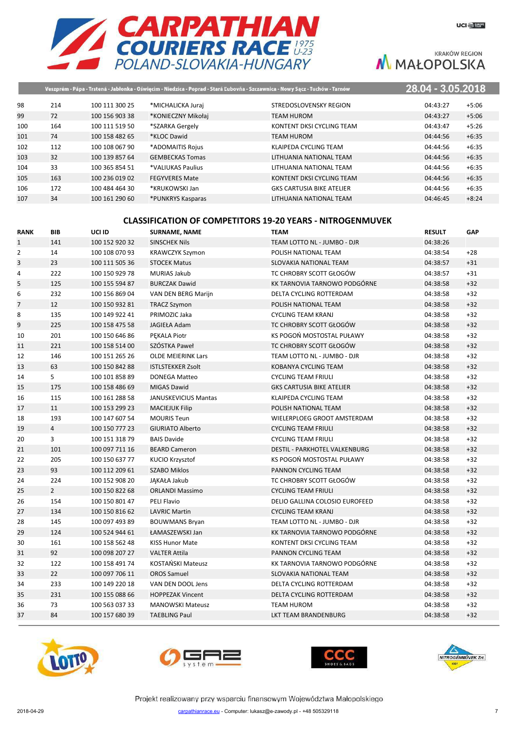

|     |     |                |                        | Veszprém - Pápa - Trstená - Jabłonka - Oświęcim - Niedzica - Poprad - Stará Ľubovňa - Szczawnica - Nowy Sącz - Tuchów - Tarnów | 28.04 - 3.05.2018 |         |
|-----|-----|----------------|------------------------|--------------------------------------------------------------------------------------------------------------------------------|-------------------|---------|
| 98  | 214 | 100 111 300 25 | *MICHALICKA Juraj      | STREDOSLOVENSKY REGION                                                                                                         | 04:43:27          | $+5:06$ |
| 99  | 72  | 100 156 903 38 | *KONIECZNY Mikołaj     | TEAM HUROM                                                                                                                     | 04:43:27          | $+5:06$ |
| 100 | 164 | 100 111 519 50 | *SZARKA Gergely        | KONTENT DKSI CYCLING TEAM                                                                                                      | 04:43:47          | $+5:26$ |
| 101 | 74  | 100 158 482 65 | *KLOC Dawid            | TEAM HUROM                                                                                                                     | 04:44:56          | $+6:35$ |
| 102 | 112 | 100 108 067 90 | *ADOMAITIS Rojus       | KLAIPEDA CYCLING TEAM                                                                                                          | 04:44:56          | $+6:35$ |
| 103 | 32  | 100 139 857 64 | <b>GEMBECKAS Tomas</b> | LITHUANIA NATIONAL TEAM                                                                                                        | 04:44:56          | $+6:35$ |
| 104 | 33  | 100 365 854 51 | *VALIUKAS Paulius      | LITHUANIA NATIONAL TEAM                                                                                                        | 04:44:56          | $+6:35$ |
| 105 | 163 | 100 236 019 02 | <b>FEGYVERES Mate</b>  | KONTENT DKSI CYCLING TEAM                                                                                                      | 04:44:56          | $+6:35$ |
| 106 | 172 | 100 484 464 30 | *KRUKOWSKI Jan         | <b>GKS CARTUSIA BIKE ATELIER</b>                                                                                               | 04:44:56          | $+6:35$ |
| 107 | 34  | 100 161 290 60 | *PUNKRYS Kasparas      | LITHUANIA NATIONAL TEAM                                                                                                        | 04:46:45          | $+8:24$ |

#### **CLASSIFICATION OF COMPETITORS 19-20 YEARS - NITROGENMUVEK**

| <b>RANK</b>    | <b>BIB</b>     | UCI ID         | <b>SURNAME, NAME</b>        | <b>TEAM</b>                      | <b>RESULT</b> | GAP   |
|----------------|----------------|----------------|-----------------------------|----------------------------------|---------------|-------|
| $\mathbf{1}$   | 141            | 100 152 920 32 | <b>SINSCHEK Nils</b>        | TEAM LOTTO NL - JUMBO - DJR      | 04:38:26      |       |
| $\overline{2}$ | 14             | 100 108 070 93 | <b>KRAWCZYK Szymon</b>      | POLISH NATIONAL TEAM             | 04:38:54      | $+28$ |
| 3              | 23             | 100 111 505 36 | <b>STOCEK Matus</b>         | SLOVAKIA NATIONAL TEAM           | 04:38:57      | $+31$ |
| 4              | 222            | 100 150 929 78 | <b>MURIAS Jakub</b>         | TC CHROBRY SCOTT GŁOGÓW          | 04:38:57      | $+31$ |
| 5              | 125            | 100 155 594 87 | <b>BURCZAK Dawid</b>        | KK TARNOVIA TARNOWO PODGÓRNE     | 04:38:58      | $+32$ |
| 6              | 232            | 100 156 869 04 | VAN DEN BERG Marijn         | DELTA CYCLING ROTTERDAM          | 04:38:58      | $+32$ |
| $\overline{7}$ | 12             | 100 150 932 81 | <b>TRACZ Szymon</b>         | POLISH NATIONAL TEAM             | 04:38:58      | $+32$ |
| 8              | 135            | 100 149 922 41 | PRIMOZIC Jaka               | <b>CYCLING TEAM KRANJ</b>        | 04:38:58      | $+32$ |
| 9              | 225            | 100 158 475 58 | JAGIEŁA Adam                | TC CHROBRY SCOTT GŁOGÓW          | 04:38:58      | $+32$ |
| 10             | 201            | 100 150 646 86 | PEKALA Piotr                | KS POGOŃ MOSTOSTAL PUŁAWY        | 04:38:58      | $+32$ |
| 11             | 221            | 100 158 514 00 | SZÓSTKA Paweł               | TC CHROBRY SCOTT GŁOGÓW          | 04:38:58      | $+32$ |
| 12             | 146            | 100 151 265 26 | <b>OLDE MEIERINK Lars</b>   | TEAM LOTTO NL - JUMBO - DJR      | 04:38:58      | $+32$ |
| 13             | 63             | 100 150 842 88 | <b>ISTLSTEKKER Zsolt</b>    | KOBANYA CYCLING TEAM             | 04:38:58      | $+32$ |
| 14             | 5              | 100 101 858 89 | <b>DONEGA Matteo</b>        | <b>CYCLING TEAM FRIULI</b>       | 04:38:58      | $+32$ |
| 15             | 175            | 100 158 486 69 | <b>MIGAS Dawid</b>          | <b>GKS CARTUSIA BIKE ATELIER</b> | 04:38:58      | $+32$ |
| 16             | 115            | 100 161 288 58 | <b>JANUSKEVICIUS Mantas</b> | KLAIPEDA CYCLING TEAM            | 04:38:58      | $+32$ |
| 17             | 11             | 100 153 299 23 | <b>MACIEJUK Filip</b>       | POLISH NATIONAL TEAM             | 04:38:58      | $+32$ |
| 18             | 193            | 100 147 607 54 | <b>MOURIS Teun</b>          | WIELERPLOEG GROOT AMSTERDAM      | 04:38:58      | $+32$ |
| 19             | $\overline{4}$ | 100 150 777 23 | <b>GIURIATO Alberto</b>     | <b>CYCLING TEAM FRIULI</b>       | 04:38:58      | $+32$ |
| 20             | 3              | 100 151 318 79 | <b>BAIS Davide</b>          | <b>CYCLING TEAM FRIULI</b>       | 04:38:58      | $+32$ |
| 21             | 101            | 100 097 711 16 | <b>BEARD Cameron</b>        | DESTIL - PARKHOTEL VALKENBURG    | 04:38:58      | $+32$ |
| 22             | 205            | 100 150 637 77 | KUCIO Krzysztof             | KS POGOŃ MOSTOSTAL PUŁAWY        | 04:38:58      | $+32$ |
| 23             | 93             | 100 112 209 61 | <b>SZABO Miklos</b>         | PANNON CYCLING TEAM              | 04:38:58      | $+32$ |
| 24             | 224            | 100 152 908 20 | JAKAŁA Jakub                | TC CHROBRY SCOTT GŁOGÓW          | 04:38:58      | $+32$ |
| 25             | $\overline{2}$ | 100 150 822 68 | <b>ORLANDI Massimo</b>      | <b>CYCLING TEAM FRIULI</b>       | 04:38:58      | $+32$ |
| 26             | 154            | 100 150 801 47 | PELI Flavio                 | DELIO GALLINA COLOSIO EUROFEED   | 04:38:58      | $+32$ |
| 27             | 134            | 100 150 816 62 | <b>LAVRIC Martin</b>        | <b>CYCLING TEAM KRANJ</b>        | 04:38:58      | $+32$ |
| 28             | 145            | 100 097 493 89 | <b>BOUWMANS Bryan</b>       | TEAM LOTTO NL - JUMBO - DJR      | 04:38:58      | $+32$ |
| 29             | 124            | 100 524 944 61 | ŁAMASZEWSKI Jan             | KK TARNOVIA TARNOWO PODGÓRNE     | 04:38:58      | $+32$ |
| 30             | 161            | 100 158 562 48 | <b>KISS Hunor Mate</b>      | KONTENT DKSI CYCLING TEAM        | 04:38:58      | $+32$ |
| 31             | 92             | 100 098 207 27 | <b>VALTER Attila</b>        | PANNON CYCLING TEAM              | 04:38:58      | $+32$ |
| 32             | 122            | 100 158 491 74 | KOSTAŃSKI Mateusz           | KK TARNOVIA TARNOWO PODGÓRNE     | 04:38:58      | $+32$ |
| 33             | 22             | 100 097 706 11 | <b>OROS Samuel</b>          | <b>SLOVAKIA NATIONAL TEAM</b>    | 04:38:58      | $+32$ |
| 34             | 233            | 100 149 220 18 | VAN DEN DOOL Jens           | DELTA CYCLING ROTTERDAM          | 04:38:58      | $+32$ |
| 35             | 231            | 100 155 088 66 | <b>HOPPEZAK Vincent</b>     | DELTA CYCLING ROTTERDAM          | 04:38:58      | $+32$ |
| 36             | 73             | 100 563 037 33 | <b>MANOWSKI Mateusz</b>     | <b>TEAM HUROM</b>                | 04:38:58      | $+32$ |
| 37             | 84             | 100 157 680 39 | <b>TAEBLING Paul</b>        | LKT TEAM BRANDENBURG             | 04:38:58      | $+32$ |
|                |                |                |                             |                                  |               |       |







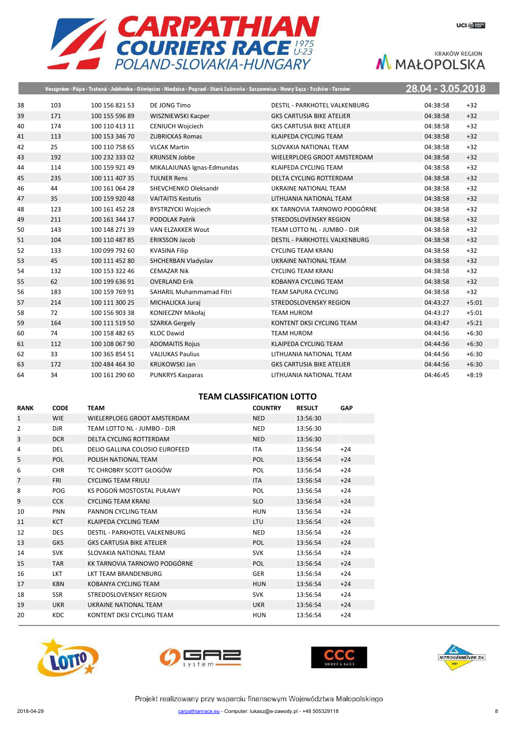

|    |     |                | Veszprém - Pápa - Trstená - Jabłonka - Oświęcim - Niedzica - Poprad - Stará Ľubovňa - Szczawnica - Nowy Sącz - Tuchów - Tarnów |                                      | 28.04 - 3.05.2018 |         |
|----|-----|----------------|--------------------------------------------------------------------------------------------------------------------------------|--------------------------------------|-------------------|---------|
| 38 | 103 | 100 156 821 53 | DE JONG Timo                                                                                                                   | <b>DESTIL - PARKHOTEL VALKENBURG</b> | 04:38:58<br>$+32$ |         |
| 39 | 171 | 100 155 596 89 | WISZNIEWSKI Kacper                                                                                                             | <b>GKS CARTUSIA BIKE ATELIER</b>     | $+32$<br>04:38:58 |         |
| 40 | 174 | 100 110 413 11 | <b>CENIUCH Wojciech</b>                                                                                                        | <b>GKS CARTUSIA BIKE ATELIER</b>     | 04:38:58<br>$+32$ |         |
| 41 | 113 | 100 153 346 70 | <b>ZUBRICKAS Romas</b>                                                                                                         | KLAIPEDA CYCLING TEAM                | $+32$<br>04:38:58 |         |
| 42 | 25  | 100 110 758 65 | <b>VLCAK Martin</b>                                                                                                            | SLOVAKIA NATIONAL TEAM               | $+32$<br>04:38:58 |         |
| 43 | 192 | 100 232 333 02 | <b>KRIJNSEN Jobbe</b>                                                                                                          | WIELERPLOEG GROOT AMSTERDAM          | $+32$<br>04:38:58 |         |
| 44 | 114 | 100 159 921 49 | MIKALAJUNAS Ignas-Edmundas                                                                                                     | KLAIPEDA CYCLING TEAM                | $+32$<br>04:38:58 |         |
| 45 | 235 | 100 111 407 35 | <b>TULNER Rens</b>                                                                                                             | DELTA CYCLING ROTTERDAM              | $+32$<br>04:38:58 |         |
| 46 | 44  | 100 161 064 28 | SHEVCHENKO Oleksandr                                                                                                           | UKRAINE NATIONAL TEAM                | $+32$<br>04:38:58 |         |
| 47 | 35  | 100 159 920 48 | <b>VAITAITIS Kestutis</b>                                                                                                      | LITHUANIA NATIONAL TEAM              | $+32$<br>04:38:58 |         |
| 48 | 123 | 100 161 452 28 | <b>BYSTRZYCKI Wojciech</b>                                                                                                     | KK TARNOVIA TARNOWO PODGÓRNE         | $+32$<br>04:38:58 |         |
| 49 | 211 | 100 161 344 17 | <b>PODOLAK Patrik</b>                                                                                                          | STREDOSLOVENSKY REGION               | $+32$<br>04:38:58 |         |
| 50 | 143 | 100 148 271 39 | VAN ELZAKKER Wout                                                                                                              | TEAM LOTTO NL - JUMBO - DJR          | $+32$<br>04:38:58 |         |
| 51 | 104 | 100 110 487 85 | <b>ERIKSSON Jacob</b>                                                                                                          | <b>DESTIL - PARKHOTEL VALKENBURG</b> | $+32$<br>04:38:58 |         |
| 52 | 133 | 100 099 792 60 | <b>KVASINA Filip</b>                                                                                                           | <b>CYCLING TEAM KRANJ</b>            | $+32$<br>04:38:58 |         |
| 53 | 45  | 100 111 452 80 | SHCHERBAN Vladyslav                                                                                                            | UKRAINE NATIONAL TEAM                | $+32$<br>04:38:58 |         |
| 54 | 132 | 100 153 322 46 | <b>CEMAZAR Nik</b>                                                                                                             | <b>CYCLING TEAM KRANJ</b>            | $+32$<br>04:38:58 |         |
| 55 | 62  | 100 199 636 91 | <b>OVERLAND Erik</b>                                                                                                           | KOBANYA CYCLING TEAM                 | $+32$<br>04:38:58 |         |
| 56 | 183 | 100 159 769 91 | <b>SAHARIL Muhammamad Fitri</b>                                                                                                | <b>TEAM SAPURA CYCLING</b>           | $+32$<br>04:38:58 |         |
| 57 | 214 | 100 111 300 25 | MICHALICKA Juraj                                                                                                               | STREDOSLOVENSKY REGION               | 04:43:27          | $+5:01$ |
| 58 | 72  | 100 156 903 38 | KONIECZNY Mikołaj                                                                                                              | <b>TEAM HUROM</b>                    | 04:43:27          | $+5:01$ |
| 59 | 164 | 100 111 519 50 | <b>SZARKA Gergely</b>                                                                                                          | KONTENT DKSI CYCLING TEAM            | 04:43:47          | $+5:21$ |
| 60 | 74  | 100 158 482 65 | <b>KLOC Dawid</b>                                                                                                              | <b>TEAM HUROM</b>                    | 04:44:56          | $+6:30$ |
| 61 | 112 | 100 108 067 90 | <b>ADOMAITIS Rojus</b>                                                                                                         | KLAIPEDA CYCLING TEAM                | 04:44:56          | $+6:30$ |
| 62 | 33  | 100 365 854 51 | <b>VALIUKAS Paulius</b>                                                                                                        | LITHUANIA NATIONAL TEAM              | 04:44:56          | $+6:30$ |
| 63 | 172 | 100 484 464 30 | <b>KRUKOWSKI Jan</b>                                                                                                           | <b>GKS CARTUSIA BIKE ATELIER</b>     | 04:44:56          | $+6:30$ |
| 64 | 34  | 100 161 290 60 | <b>PUNKRYS Kasparas</b>                                                                                                        | LITHUANIA NATIONAL TEAM              | 04:46:45          | $+8:19$ |

# **TEAM CLASSIFICATION LOTTO**

| <b>RANK</b>    | <b>CODE</b> | <b>TEAM</b>                      | <b>COUNTRY</b> | <b>RESULT</b> | GAP   |
|----------------|-------------|----------------------------------|----------------|---------------|-------|
| $\mathbf{1}$   | <b>WIE</b>  | WIELERPLOEG GROOT AMSTERDAM      | <b>NED</b>     | 13:56:30      |       |
| 2              | DJR.        | TEAM LOTTO NL - JUMBO - DJR      | <b>NED</b>     | 13:56:30      |       |
| 3              | <b>DCR</b>  | DELTA CYCLING ROTTERDAM          | <b>NED</b>     | 13:56:30      |       |
| 4              | <b>DEL</b>  | DELIO GALLINA COLOSIO EUROFEED   | <b>ITA</b>     | 13:56:54      | $+24$ |
| 5              | POL         | POLISH NATIONAL TEAM             | <b>POL</b>     | 13:56:54      | $+24$ |
| 6              | <b>CHR</b>  | TC CHROBRY SCOTT GŁOGÓW          | POL            | 13:56:54      | $+24$ |
| $\overline{7}$ | <b>FRI</b>  | <b>CYCLING TEAM FRIULI</b>       | <b>ITA</b>     | 13:56:54      | $+24$ |
| 8              | <b>POG</b>  | KS POGOŃ MOSTOSTAL PUŁAWY        | POL            | 13:56:54      | $+24$ |
| 9              | <b>CCK</b>  | <b>CYCLING TEAM KRANJ</b>        | <b>SLO</b>     | 13:56:54      | $+24$ |
| 10             | <b>PNN</b>  | PANNON CYCLING TEAM              | <b>HUN</b>     | 13:56:54      | $+24$ |
| 11             | <b>KCT</b>  | KLAIPEDA CYCLING TEAM            | <b>LTU</b>     | 13:56:54      | $+24$ |
| 12             | <b>DES</b>  | DESTIL - PARKHOTEL VALKENBURG    | <b>NED</b>     | 13:56:54      | $+24$ |
| 13             | <b>GKS</b>  | <b>GKS CARTUSIA BIKE ATELIER</b> | <b>POL</b>     | 13:56:54      | $+24$ |
| 14             | <b>SVK</b>  | SLOVAKIA NATIONAL TEAM           | <b>SVK</b>     | 13:56:54      | $+24$ |
| 15             | <b>TAR</b>  | KK TARNOVIA TARNOWO PODGÓRNE     | <b>POL</b>     | 13:56:54      | $+24$ |
| 16             | <b>LKT</b>  | <b>LKT TEAM BRANDENBURG</b>      | <b>GER</b>     | 13:56:54      | $+24$ |
| 17             | <b>KBN</b>  | KOBANYA CYCLING TEAM             | <b>HUN</b>     | 13:56:54      | $+24$ |
| 18             | <b>SSR</b>  | STREDOSLOVENSKY REGION           | <b>SVK</b>     | 13:56:54      | $+24$ |
| 19             | <b>UKR</b>  | UKRAINE NATIONAL TEAM            | <b>UKR</b>     | 13:56:54      | $+24$ |
| 20             | <b>KDC</b>  | KONTENT DKSI CYCLING TEAM        | HUN            | 13:56:54      | $+24$ |







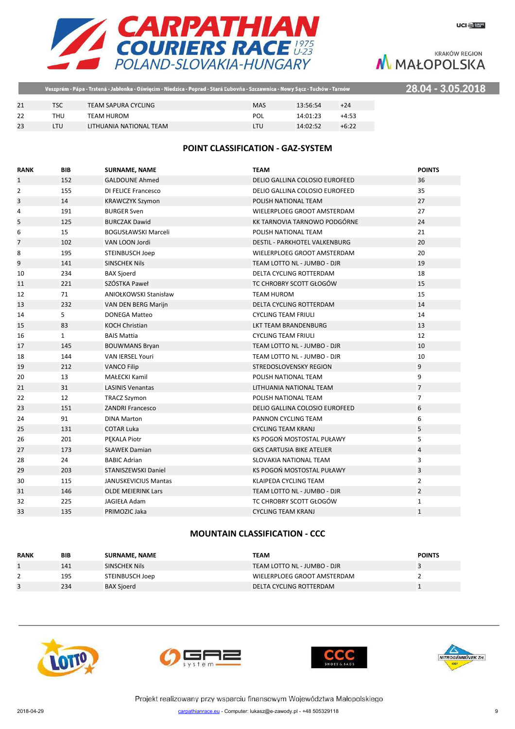

28.04 - 3.05.2018

|    | Veszprém - Pápa - Trstená - Jabłonka - Oświęcim - Niedzica - Poprad - Stará Ľubovňa - Szczawnica - Nowy Sącz - Tuchów - Tarnów |                         |            |          |         |  |
|----|--------------------------------------------------------------------------------------------------------------------------------|-------------------------|------------|----------|---------|--|
|    |                                                                                                                                |                         |            |          |         |  |
| 21 | TSC                                                                                                                            | TEAM SAPURA CYCLING     | <b>MAS</b> | 13:56:54 | $+24$   |  |
| 22 | THU                                                                                                                            | TEAM HUROM              | POL        | 14:01:23 | $+4:53$ |  |
| 23 | LTU                                                                                                                            | LITHUANIA NATIONAL TEAM | LTU        | 14:02:52 | $+6:22$ |  |

# **POINT CLASSIFICATION - GAZ-SYSTEM**

| <b>RANK</b>  | <b>BIB</b>   | <b>SURNAME, NAME</b>         | <b>TEAM</b>                          | <b>POINTS</b>  |
|--------------|--------------|------------------------------|--------------------------------------|----------------|
| $\mathbf{1}$ | 152          | <b>GALDOUNE Ahmed</b>        | DELIO GALLINA COLOSIO EUROFEED       | 36             |
| 2            | 155          | <b>DI FELICE Francesco</b>   | DELIO GALLINA COLOSIO EUROFEED       | 35             |
| 3            | 14           | <b>KRAWCZYK Szymon</b>       | POLISH NATIONAL TEAM                 | 27             |
| 4            | 191          | <b>BURGER Sven</b>           | WIELERPLOEG GROOT AMSTERDAM          | 27             |
| 5            | 125          | <b>BURCZAK Dawid</b>         | KK TARNOVIA TARNOWO PODGÓRNE         | 24             |
| 6            | 15           | <b>BOGUSŁAWSKI Marceli</b>   | POLISH NATIONAL TEAM                 | 21             |
| 7            | 102          | VAN LOON Jordi               | <b>DESTIL - PARKHOTEL VALKENBURG</b> | 20             |
| 8            | 195          | <b>STEINBUSCH Joep</b>       | WIELERPLOEG GROOT AMSTERDAM          | 20             |
| 9            | 141          | <b>SINSCHEK Nils</b>         | TEAM LOTTO NL - JUMBO - DJR          | 19             |
| 10           | 234          | <b>BAX Sjoerd</b>            | DELTA CYCLING ROTTERDAM              | 18             |
| 11           | 221          | SZÓSTKA Paweł                | TC CHROBRY SCOTT GŁOGÓW              | 15             |
| 12           | 71           | <b>ANIOŁKOWSKI Stanisław</b> | <b>TEAM HUROM</b>                    | 15             |
| 13           | 232          | VAN DEN BERG Marijn          | <b>DELTA CYCLING ROTTERDAM</b>       | 14             |
| 14           | 5            | <b>DONEGA Matteo</b>         | <b>CYCLING TEAM FRIULI</b>           | 14             |
| 15           | 83           | <b>KOCH Christian</b>        | LKT TEAM BRANDENBURG                 | 13             |
| 16           | $\mathbf{1}$ | <b>BAIS Mattia</b>           | <b>CYCLING TEAM FRIULI</b>           | 12             |
| 17           | 145          | <b>BOUWMANS Bryan</b>        | TEAM LOTTO NL - JUMBO - DJR          | 10             |
| 18           | 144          | <b>VAN IERSEL Youri</b>      | TEAM LOTTO NL - JUMBO - DJR          | 10             |
| 19           | 212          | <b>VANCO Filip</b>           | STREDOSLOVENSKY REGION               | 9              |
| 20           | 13           | <b>MAŁECKI Kamil</b>         | POLISH NATIONAL TEAM                 | 9              |
| 21           | 31           | <b>LASINIS Venantas</b>      | LITHUANIA NATIONAL TEAM              | $\overline{7}$ |
| 22           | 12           | <b>TRACZ Szymon</b>          | POLISH NATIONAL TEAM                 | $\overline{7}$ |
| 23           | 151          | <b>ZANDRI Francesco</b>      | DELIO GALLINA COLOSIO EUROFEED       | 6              |
| 24           | 91           | <b>DINA Marton</b>           | PANNON CYCLING TEAM                  | 6              |
| 25           | 131          | <b>COTAR Luka</b>            | <b>CYCLING TEAM KRANJ</b>            | 5              |
| 26           | 201          | PEKALA Piotr                 | KS POGOŃ MOSTOSTAL PUŁAWY            | 5              |
| 27           | 173          | <b>SŁAWEK Damian</b>         | <b>GKS CARTUSIA BIKE ATELIER</b>     | 4              |
| 28           | 24           | <b>BABIC Adrian</b>          | SLOVAKIA NATIONAL TEAM               | 3              |
| 29           | 203          | STANISZEWSKI Daniel          | KS POGOŃ MOSTOSTAL PUŁAWY            | 3              |
| 30           | 115          | <b>JANUSKEVICIUS Mantas</b>  | KLAIPEDA CYCLING TEAM                | $\overline{2}$ |
| 31           | 146          | <b>OLDE MEIERINK Lars</b>    | TEAM LOTTO NL - JUMBO - DJR          | $\overline{2}$ |
| 32           | 225          | JAGIEŁA Adam                 | TC CHROBRY SCOTT GŁOGÓW              | $\mathbf{1}$   |
| 33           | 135          | PRIMOZIC Jaka                | <b>CYCLING TEAM KRANJ</b>            | $\mathbf{1}$   |

# **MOUNTAIN CLASSIFICATION - CCC**

| <b>RANK</b> | <b>BIB</b> | <b>SURNAME, NAME</b> | TEAM                        | <b>POINTS</b> |
|-------------|------------|----------------------|-----------------------------|---------------|
|             | 141        | SINSCHEK Nils        | TEAM LOTTO NL - JUMBO - DJR |               |
|             | 195        | STEINBUSCH Joep      | WIELERPLOEG GROOT AMSTERDAM |               |
|             | 234        | <b>BAX Sjoerd</b>    | DELTA CYCLING ROTTERDAM     |               |







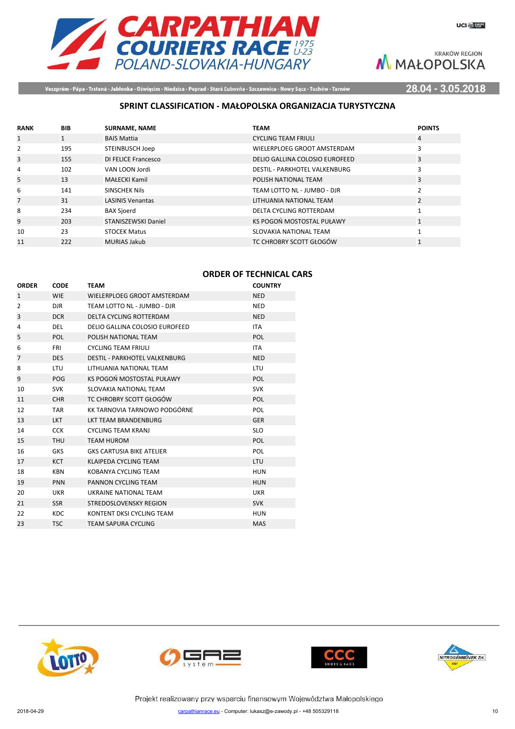

**UCI BURGE** 

**KRAKÓW REGION** M MAŁOPOLSKA

Veszprém - Pápa - Trstená - Jabłonka - Oświęcim - Niedzica - Poprad - Stará Ľubovňa - Szczawnica - Nowy Sącz - Tuchów - Tarnów

28.04 - 3.05.2018

# **SPRINT CLASSIFICATION - MAŁOPOLSKA ORGANIZACJA TURYSTYCZNA**

| <b>RANK</b>    | <b>BIB</b> | <b>SURNAME, NAME</b>       | <b>TEAM</b>                          | <b>POINTS</b>  |
|----------------|------------|----------------------------|--------------------------------------|----------------|
| 1              |            | <b>BAIS Mattia</b>         | <b>CYCLING TEAM FRIULI</b>           | 4              |
| 2              | 195        | STEINBUSCH Joep            | WIELERPLOEG GROOT AMSTERDAM          | 3              |
| 3              | 155        | <b>DI FELICE Francesco</b> | DELIO GALLINA COLOSIO EUROFEED       | 3              |
| 4              | 102        | VAN LOON Jordi             | <b>DESTIL - PARKHOTEL VALKENBURG</b> | 3              |
| 5              | 13         | <b>MAŁECKI Kamil</b>       | POLISH NATIONAL TEAM                 | 3              |
| 6              | 141        | SINSCHEK Nils              | TEAM LOTTO NL - JUMBO - DJR          | 2              |
| $\overline{7}$ | 31         | <b>LASINIS Venantas</b>    | LITHUANIA NATIONAL TEAM              | $\overline{2}$ |
| 8              | 234        | <b>BAX Sjoerd</b>          | DELTA CYCLING ROTTERDAM              |                |
| 9              | 203        | STANISZEWSKI Daniel        | KS POGOŃ MOSTOSTAL PUŁAWY            | $\mathbf{1}$   |
| 10             | 23         | <b>STOCEK Matus</b>        | SLOVAKIA NATIONAL TEAM               |                |
| 11             | 222        | <b>MURIAS Jakub</b>        | TC CHROBRY SCOTT GŁOGÓW              |                |

# **ORDER OF TECHNICAL CARS**

| <b>ORDER</b>   | <b>CODE</b> | <b>TEAM</b>                          | <b>COUNTRY</b> |
|----------------|-------------|--------------------------------------|----------------|
| $\mathbf{1}$   | <b>WIE</b>  | WIELERPLOEG GROOT AMSTERDAM          | <b>NED</b>     |
| $\overline{2}$ | <b>DJR</b>  | TEAM LOTTO NL - JUMBO - DJR          | <b>NED</b>     |
| 3              | <b>DCR</b>  | DELTA CYCLING ROTTERDAM              | <b>NED</b>     |
| 4              | <b>DEL</b>  | DELIO GALLINA COLOSIO EUROFEED       | <b>ITA</b>     |
| 5              | <b>POL</b>  | POLISH NATIONAL TEAM                 | <b>POL</b>     |
| 6              | <b>FRI</b>  | <b>CYCLING TEAM FRIULI</b>           | <b>ITA</b>     |
| $\overline{7}$ | <b>DES</b>  | <b>DESTIL - PARKHOTEL VALKENBURG</b> | <b>NED</b>     |
| 8              | LTU         | LITHUANIA NATIONAL TEAM              | <b>LTU</b>     |
| 9              | POG         | KS POGOŃ MOSTOSTAL PUŁAWY            | <b>POL</b>     |
| 10             | <b>SVK</b>  | SLOVAKIA NATIONAL TEAM               | <b>SVK</b>     |
| 11             | <b>CHR</b>  | TC CHROBRY SCOTT GŁOGÓW              | <b>POL</b>     |
| 12             | <b>TAR</b>  | KK TARNOVIA TARNOWO PODGÓRNE         | <b>POL</b>     |
| 13             | <b>LKT</b>  | <b>LKT TEAM BRANDENBURG</b>          | <b>GER</b>     |
| 14             | <b>CCK</b>  | <b>CYCLING TEAM KRANJ</b>            | <b>SLO</b>     |
| 15             | <b>THU</b>  | <b>TEAM HUROM</b>                    | <b>POL</b>     |
| 16             | <b>GKS</b>  | <b>GKS CARTUSIA BIKE ATELIER</b>     | POL            |
| 17             | <b>KCT</b>  | KLAIPEDA CYCLING TEAM                | <b>LTU</b>     |
| 18             | <b>KBN</b>  | KOBANYA CYCLING TEAM                 | <b>HUN</b>     |
| 19             | <b>PNN</b>  | PANNON CYCLING TEAM                  | <b>HUN</b>     |
| 20             | <b>UKR</b>  | UKRAINE NATIONAL TEAM                | <b>UKR</b>     |
| 21             | <b>SSR</b>  | STREDOSLOVENSKY REGION               | <b>SVK</b>     |
| 22             | <b>KDC</b>  | KONTENT DKSI CYCLING TEAM            | <b>HUN</b>     |
| 23             | <b>TSC</b>  | <b>TEAM SAPURA CYCLING</b>           | <b>MAS</b>     |
|                |             |                                      |                |







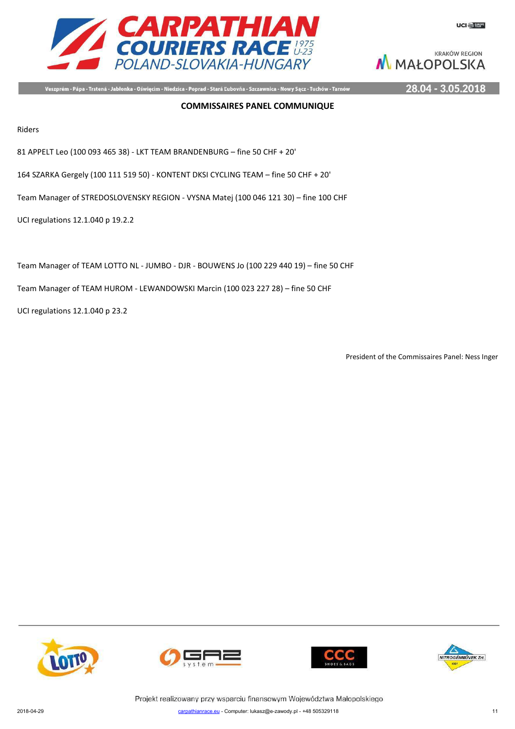



Veszprém - Pápa - Trstená - Jabłonka - Oświęcim - Niedzica - Poprad - Stará Ľubovňa - Szczawnica - Nowy Sącz - Tuchów - Tarnów

28.04 - 3.05.2018

#### **COMMISSAIRES PANEL COMMUNIQUE**

Riders

81 APPELT Leo (100 093 465 38) - LKT TEAM BRANDENBURG – fine 50 CHF + 20'

164 SZARKA Gergely (100 111 519 50) - KONTENT DKSI CYCLING TEAM – fine 50 CHF + 20'

Team Manager of STREDOSLOVENSKY REGION - VYSNA Matej (100 046 121 30) – fine 100 CHF

UCI regulations 12.1.040 p 19.2.2

Team Manager of TEAM LOTTO NL - JUMBO - DJR - BOUWENS Jo (100 229 440 19) – fine 50 CHF

Team Manager of TEAM HUROM - LEWANDOWSKI Marcin (100 023 227 28) – fine 50 CHF

UCI regulations 12.1.040 p 23.2

President of the Commissaires Panel: Ness Inger







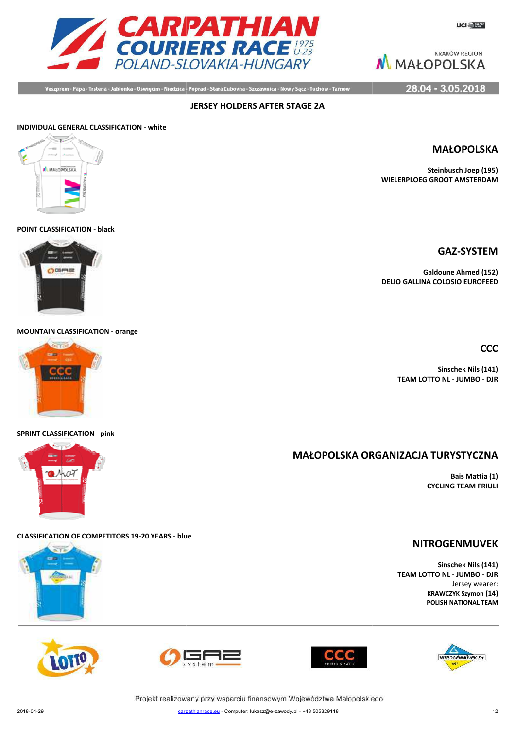

28.04 - 3.05.2018

Veszprém - Pápa - Trstená - Jabłonka - Oświęcim - Niedzica - Poprad - Stará Ľubovňa - Szczawnica - Nowy Sącz - Tuchów - Tarnów

**JERSEY HOLDERS AFTER STAGE 2A**

# **INDIVIDUAL GENERAL CLASSIFICATION - white** ALMANDROLSKA

#### **POINT CLASSIFICATION - black**



**MOUNTAIN CLASSIFICATION - orange**



#### **SPRINT CLASSIFICATION - pink**



# **CLASSIFICATION OF COMPETITORS 19-20 YEARS - blue**











Projekt realizowany przy wsparciu finansowym Województwa Małopolskiego

# **GAZ-SYSTEM**

**MAŁOPOLSKA**

**Steinbusch Joep (195)**

**Galdoune Ahmed (152) DELIO GALLINA COLOSIO EUROFEED**

**WIELERPLOEG GROOT AMSTERDAM**

**CCC**

**Sinschek Nils (141) TEAM LOTTO NL - JUMBO - DJR**

# **MAŁOPOLSKA ORG ORGANIZACJA TURYSTYCZNA**

**Bais Mattia (1) CYCLING TEAM FRIULI**

# **NITROGENMUVEK**

**Sinschek Nils (141) TEAM LOTTO NL - JUMBO - DJR** Jersey wearer: **KRAWCZYK Szymon (14) POLISH NATIONAL TEAM**

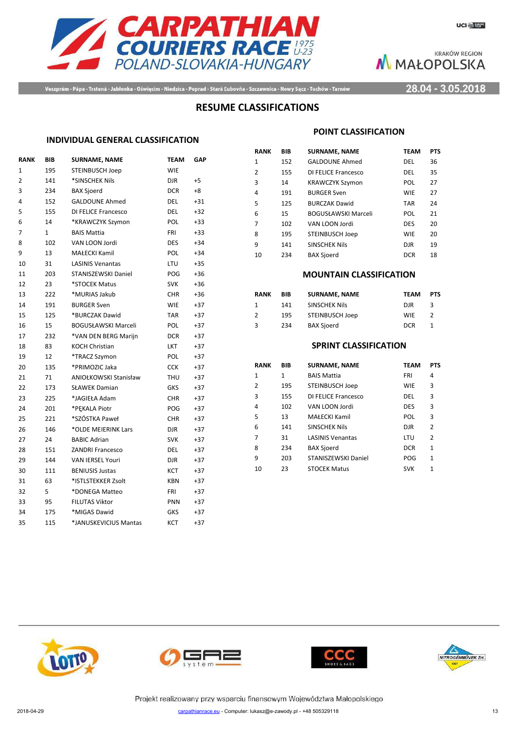



Veszprém - Pápa - Trstená - Jabłonka - Oświęcim - Niedzica - Poprad - Stará Ľubovňa - Szczawnica - Nowy Sącz - Tuchów - Tarnów

28.04 - 3.05.2018

# **RESUME CLASSIFICATIONS**

#### **INDIVIDUAL GENERAL CLASSIFICATION**

| <b>RANK</b>    | BIB          | <b>SURNAME, NAME</b>         | <b>TEAM</b> | <b>GAP</b> |
|----------------|--------------|------------------------------|-------------|------------|
| $\mathbf{1}$   | 195          | <b>STEINBUSCH Joep</b>       | <b>WIE</b>  |            |
| $\overline{2}$ | 141          | *SINSCHEK Nils               | <b>DJR</b>  | $+5$       |
| 3              | 234          | <b>BAX Sjoerd</b>            | <b>DCR</b>  | +8         |
| 4              | 152          | <b>GALDOUNE Ahmed</b>        | <b>DEL</b>  | $+31$      |
| 5              | 155          | DI FELICE Francesco          | <b>DEL</b>  | $+32$      |
| 6              | 14           | *KRAWCZYK Szymon             | <b>POL</b>  | $+33$      |
| 7              | $\mathbf{1}$ | <b>BAIS Mattia</b>           | <b>FRI</b>  | $+33$      |
| 8              | 102          | VAN LOON Jordi               | <b>DES</b>  | $+34$      |
| 9              | 13           | MAŁECKI Kamil                | <b>POL</b>  | $+34$      |
| 10             | 31           | <b>LASINIS Venantas</b>      | LTU         | $+35$      |
| 11             | 203          | STANISZEWSKI Daniel          | POG         | $+36$      |
| 12             | 23           | *STOCEK Matus                | <b>SVK</b>  | $+36$      |
| 13             | 222          | *MURIAS Jakub                | CHR.        | $+36$      |
| 14             | 191          | <b>BURGER Sven</b>           | <b>WIE</b>  | $+37$      |
| 15             | 125          | *BURCZAK Dawid               | <b>TAR</b>  | $+37$      |
| 16             | 15           | <b>BOGUSŁAWSKI Marceli</b>   | <b>POL</b>  | $+37$      |
| 17             | 232          | *VAN DEN BERG Marijn         | <b>DCR</b>  | $+37$      |
| 18             | 83           | KOCH Christian               | <b>LKT</b>  | $+37$      |
| 19             | 12           | *TRACZ Szymon                | POL         | $+37$      |
| 20             | 135          | *PRIMOZIC Jaka               | <b>CCK</b>  | $+37$      |
| 21             | 71           | <b>ANIOŁKOWSKI Stanisław</b> | <b>THU</b>  | $+37$      |
| 22             | 173          | <b>SŁAWEK Damian</b>         | GKS         | $+37$      |
| 23             | 225          | *JAGIEŁA Adam                | <b>CHR</b>  | $+37$      |
| 24             | 201          | *PEKALA Piotr                | POG         | $+37$      |
| 25             | 221          | *SZÓSTKA Paweł               | <b>CHR</b>  | $+37$      |
| 26             | 146          | *OLDE MEIERINK Lars          | DJR         | $+37$      |
| 27             | 24           | <b>BABIC Adrian</b>          | <b>SVK</b>  | $+37$      |
| 28             | 151          | <b>ZANDRI Francesco</b>      | <b>DEL</b>  | $+37$      |
| 29             | 144          | <b>VAN IERSEL Youri</b>      | <b>DJR</b>  | $+37$      |
| 30             | 111          | <b>BENIUSIS Justas</b>       | KCT         | $+37$      |
| 31             | 63           | *ISTLSTEKKER Zsolt           | <b>KBN</b>  | $+37$      |
| 32             | 5            | *DONEGA Matteo               | <b>FRI</b>  | $+37$      |
| 33             | 95           | <b>FILUTAS Viktor</b>        | <b>PNN</b>  | $+37$      |
| 34             | 175          | *MIGAS Dawid                 | GKS         | $+37$      |
| 35             | 115          | *JANUSKEVICIUS Mantas        | <b>KCT</b>  | +37        |
|                |              |                              |             |            |

#### **POINT CLASSIFICATION**

| RANK | BIB | <b>SURNAME, NAME</b>       | <b>TEAM</b> | <b>PTS</b> |
|------|-----|----------------------------|-------------|------------|
| 1    | 152 | <b>GALDOUNE Ahmed</b>      | DEL         | 36         |
| 2    | 155 | DI FELICE Francesco        | DEL         | 35         |
| 3    | 14  | <b>KRAWCZYK Szymon</b>     | POL         | 27         |
| 4    | 191 | <b>BURGER Sven</b>         | <b>WIE</b>  | 27         |
| 5    | 125 | <b>BURCZAK Dawid</b>       | <b>TAR</b>  | 24         |
| 6    | 15  | <b>BOGUSŁAWSKI Marceli</b> | POL         | 21         |
| 7    | 102 | VAN LOON Jordi             | <b>DES</b>  | 20         |
| 8    | 195 | <b>STEINBUSCH Joep</b>     | <b>WIE</b>  | 20         |
| q    | 141 | <b>SINSCHEK Nils</b>       | <b>DJR</b>  | 19         |
| 10   | 234 | <b>BAX Sjoerd</b>          | <b>DCR</b>  | 18         |

#### **MOUNTAIN CLASSIFICATION**

| RANK | BIB | <b>SURNAME, NAME</b> | <b>TEAM</b> | <b>PTS</b> |
|------|-----|----------------------|-------------|------------|
|      | 141 | <b>SINSCHEK Nils</b> | DJR.        | ર          |
| 2    | 195 | STEINBUSCH Joep      | WIF         | 2          |
| 3    | 234 | <b>BAX Sjoerd</b>    | <b>DCR</b>  |            |

### **SPRINT CLASSIFICATION**

| RANK | BIB          | <b>SURNAME, NAME</b>    | <b>TEAM</b> | <b>PTS</b> |
|------|--------------|-------------------------|-------------|------------|
| 1    | $\mathbf{1}$ | <b>BAIS Mattia</b>      | FRI         | 4          |
| 2    | 195          | <b>STEINBUSCH Joep</b>  | <b>WIE</b>  | 3          |
| 3    | 155          | DI FELICE Francesco     | DEL         | 3          |
| 4    | 102          | VAN LOON Jordi          | <b>DES</b>  | 3          |
| 5    | 13           | <b>MAŁECKI Kamil</b>    | POL         | 3          |
| 6    | 141          | <b>SINSCHEK Nils</b>    | <b>DJR</b>  | 2          |
| 7    | 31           | <b>LASINIS Venantas</b> | LTU         | 2          |
| 8    | 234          | <b>BAX Sjoerd</b>       | <b>DCR</b>  | 1          |
| 9    | 203          | STANISZEWSKI Daniel     | POG         | 1          |
| 10   | 23           | <b>STOCEK Matus</b>     | <b>SVK</b>  | 1          |
|      |              |                         |             |            |